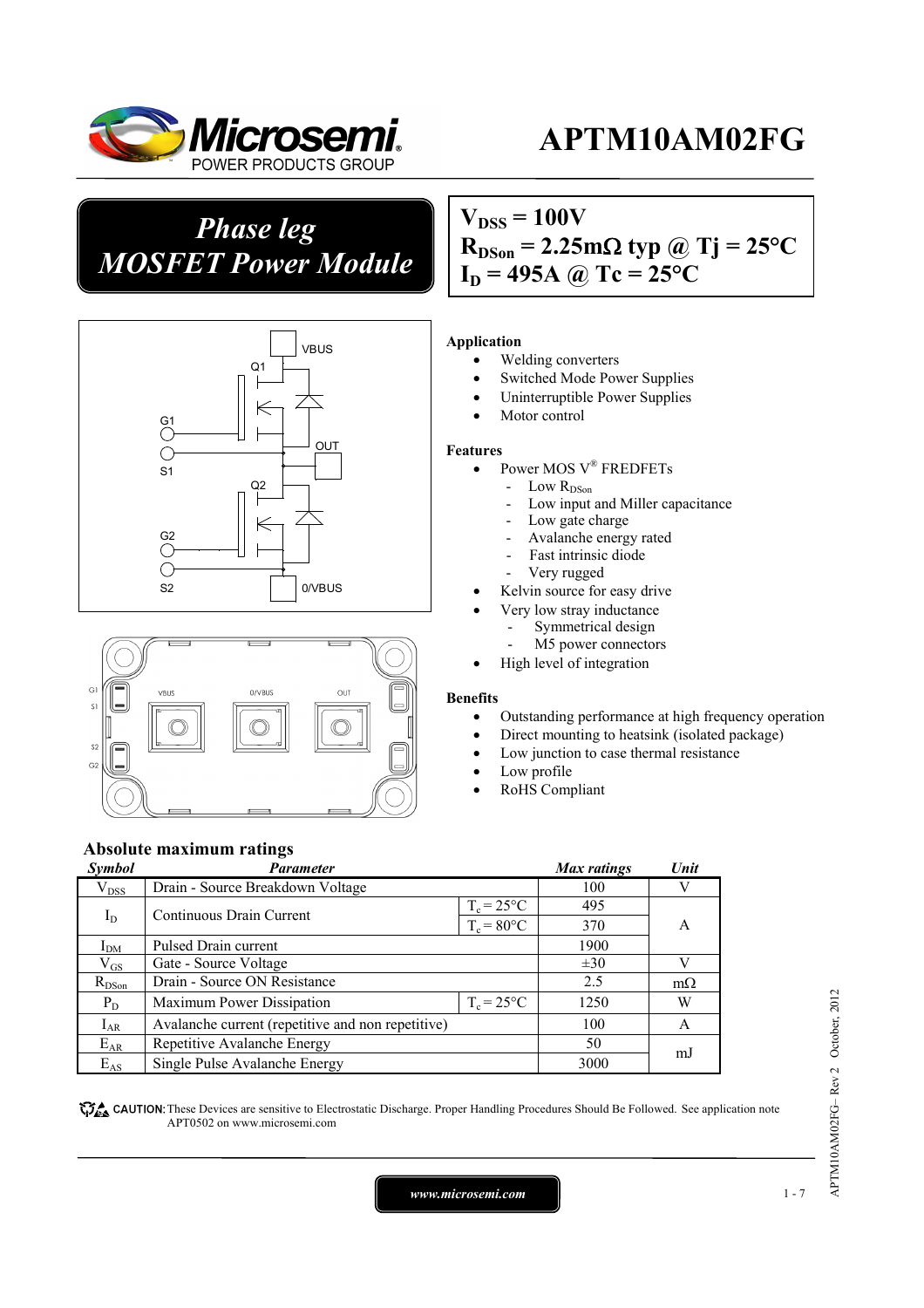

# *Phase leg MOSFET Power Module*





### $V_{DSS} = 100V$  $R_{DSon} = 2.25 \text{m}\Omega \text{ typ } @ \text{Tj} = 25 \text{°C}$  $I_D = 495A \omega Tc = 25\degree C$

#### **Application**

- Welding converters
- Switched Mode Power Supplies
- Uninterruptible Power Supplies
- Motor control

#### **Features**

- Power MOS V<sup>®</sup> FREDFETs
	- Low  $R_{DSon}$
	- Low input and Miller capacitance
	- Low gate charge
	- Avalanche energy rated
	- Fast intrinsic diode
	- Very rugged
- Kelvin source for easy drive
	- Very low stray inductance
		- Symmetrical design
	- M5 power connectors
- High level of integration

#### **Benefits**

- Outstanding performance at high frequency operation
- Direct mounting to heatsink (isolated package)
- Low junction to case thermal resistance
- Low profile
- RoHS Compliant

### **Absolute maximum ratings**

| Symbol          | <b>Parameter</b>                                  |                     | Max ratings | Unit      |  |
|-----------------|---------------------------------------------------|---------------------|-------------|-----------|--|
| $\rm V_{DSS}$   | Drain - Source Breakdown Voltage                  |                     | 100         |           |  |
| $I_D$           | Continuous Drain Current                          | $T_c = 25^{\circ}C$ | 495         |           |  |
|                 |                                                   | $T_c = 80$ °C       | 370         | A         |  |
| I <sub>DM</sub> | Pulsed Drain current                              | 1900                |             |           |  |
| $\rm V_{GS}$    | Gate - Source Voltage                             |                     | $\pm 30$    |           |  |
| $R_{DSon}$      | Drain - Source ON Resistance                      |                     | 2.5         | $m\Omega$ |  |
| $P_D$           | Maximum Power Dissipation                         | $T_c = 25^{\circ}C$ | 1250        | W         |  |
| $I_{AR}$        | Avalanche current (repetitive and non repetitive) |                     | 100         | A         |  |
| $E_{AR}$        | Repetitive Avalanche Energy                       |                     | 50          | mJ        |  |
| $E_{AS}$        | Single Pulse Avalanche Energy                     |                     | 3000        |           |  |

These Devices are sensitive to Electrostatic Discharge. Proper Handling Procedures Should Be Followed. See application note APT0502 on www.microsemi.com

*www.microsemi.com* 1-7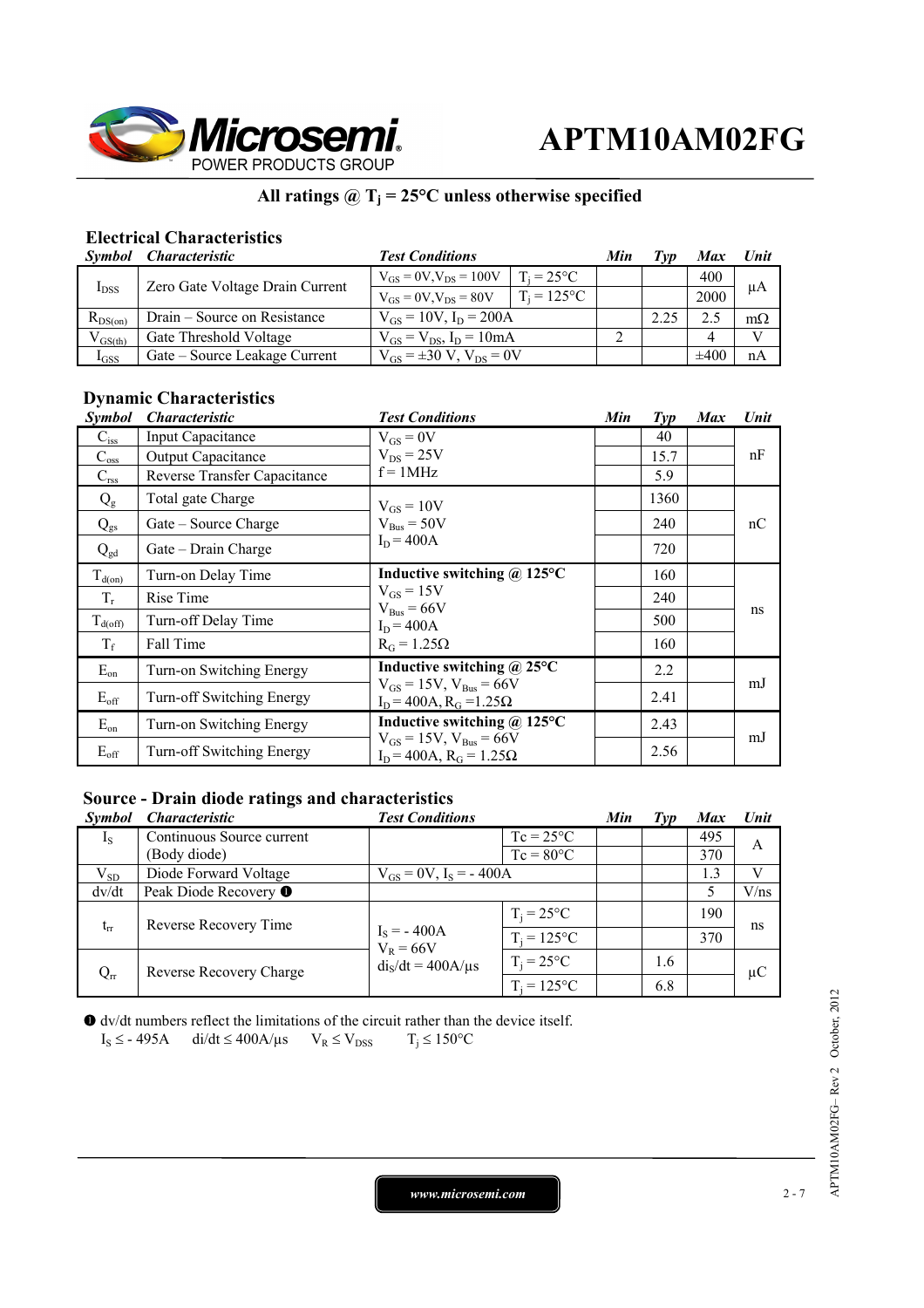

### **All ratings @ Tj = 25°C unless otherwise specified**

### **Electrical Characteristics**

| Symbol       | <i>Characteristic</i>           | <b>Test Conditions</b>              |                     | Min | Tvp  | <b>Max</b> | Unit      |
|--------------|---------------------------------|-------------------------------------|---------------------|-----|------|------------|-----------|
| $I_{DSS}$    | Zero Gate Voltage Drain Current | $V_{GS} = 0V$ , $V_{DS} = 100V$     | $T_i = 25^{\circ}C$ |     |      | 400        | μA        |
|              |                                 | $V_{GS} = 0V$ , $V_{DS} = 80V$      | $T_i = 125$ °C      |     |      | 2000       |           |
| $R_{DS(on)}$ | Drain – Source on Resistance    | $V_{GS} = 10V$ , $I_D = 200A$       |                     |     | 2.25 |            | $m\Omega$ |
| $V_{GS(th)}$ | Gate Threshold Voltage          | $V_{GS} = V_{DS}$ , $I_D = 10mA$    |                     |     |      |            |           |
| $I_{GSS}$    | Gate – Source Leakage Current   | $V_{GS} = \pm 30 V$ , $V_{DS} = 0V$ |                     |     |      | $\pm 400$  | nA        |

#### **Dynamic Characteristics**

| <b>Symbol</b>    | <i><b>Characteristic</b></i> | <b>Test Conditions</b>                                                  | Min | $\mathcal{I}yp$ | <b>Max</b> | Unit |
|------------------|------------------------------|-------------------------------------------------------------------------|-----|-----------------|------------|------|
| $C_{iss}$        | Input Capacitance            | $V_{GS} = 0V$                                                           |     | 40              |            |      |
| $C_{\rm oss}$    | Output Capacitance           | $V_{DS}$ = 25V                                                          |     | 15.7            |            | nF   |
| $C_{\rm rss}$    | Reverse Transfer Capacitance | $f = 1MHz$                                                              |     | 5.9             |            |      |
| $Q_{\rm g}$      | Total gate Charge            | $V_{GS} = 10V$                                                          |     | 1360            |            |      |
| $Q_{gs}$         | Gate – Source Charge         | $V_{\text{Bus}} = 50V$                                                  |     | 240             |            | nC   |
| $Q_{gd}$         | Gate – Drain Charge          | $I_D = 400A$                                                            |     | 720             |            |      |
| $T_{d(0n)}$      | Turn-on Delay Time           | Inductive switching $\omega$ 125°C                                      |     | 160             |            |      |
| $T_r$            | Rise Time                    | $V_{GS} = 15V$<br>$V_{Bus} = 66V$<br>$I_D = 400A$<br>$R_G = 1.25\Omega$ |     | 240             |            | ns   |
| $T_{d(off)}$     | Turn-off Delay Time          |                                                                         |     | 500             |            |      |
| $T_f$            | Fall Time                    |                                                                         |     | 160             |            |      |
| $E_{on}$         | Turn-on Switching Energy     | Inductive switching @ 25°C                                              |     | 2.2             |            | mJ   |
| $E_{\rm off}$    | Turn-off Switching Energy    | $V_{GS} = 15V$ , $V_{Bus} = 66V$<br>$I_D$ = 400A, $R_G$ =1.25 $\Omega$  |     | 2.41            |            |      |
| $E_{on}$         | Turn-on Switching Energy     | Inductive switching $\omega$ 125°C                                      |     | 2.43            |            |      |
| $E_{\text{off}}$ | Turn-off Switching Energy    | $V_{GS} = 15V$ , $V_{Bus} = 66V$<br>$ID$ = 400A, R <sub>G</sub> = 1.25Ω |     | 2.56            |            | mJ   |

### **Source - Drain diode ratings and characteristics**

| <i>Symbol</i> | <i><b>Characteristic</b></i> | <b>Test Conditions</b>        |                     | Min | Typ | <b>Max</b> | <b>Unit</b> |
|---------------|------------------------------|-------------------------------|---------------------|-----|-----|------------|-------------|
| $I_{S}$       | Continuous Source current    |                               | $Tc = 25^{\circ}C$  |     |     | 495        | A           |
|               | (Body diode)                 |                               | $Tc = 80^{\circ}C$  |     |     | 370        |             |
| $V_{SD}$      | Diode Forward Voltage        | $V_{GS} = 0V$ , $I_S = -400A$ |                     |     |     | 1.3        | V           |
| dv/dt         | Peak Diode Recovery ●        |                               |                     |     |     |            | V/ns        |
| $t_{rr}$      | Reverse Recovery Time        |                               | $T_i = 25^{\circ}C$ |     |     | 190        | ns          |
|               |                              | $I_S = -400A$<br>$V_R = 66V$  | $T_i = 125$ °C      |     |     | 370        |             |
| $Q_{rr}$      | Reverse Recovery Charge      | $dis/dt = 400A/\mu s$         | $T_i = 25$ °C       |     | 1.6 |            | $\mu$ C     |
|               |                              |                               | $T_i = 125$ °C      |     | 6.8 |            |             |

dv/dt numbers reflect the limitations of the circuit rather than the device itself.

$$
I_S \le -495A \qquad \text{di/dt} \le 400A/\mu s \qquad V_R \le V_{DSS} \qquad T_j \le 150^{\circ}C
$$

*www.microsemi.com* 2-7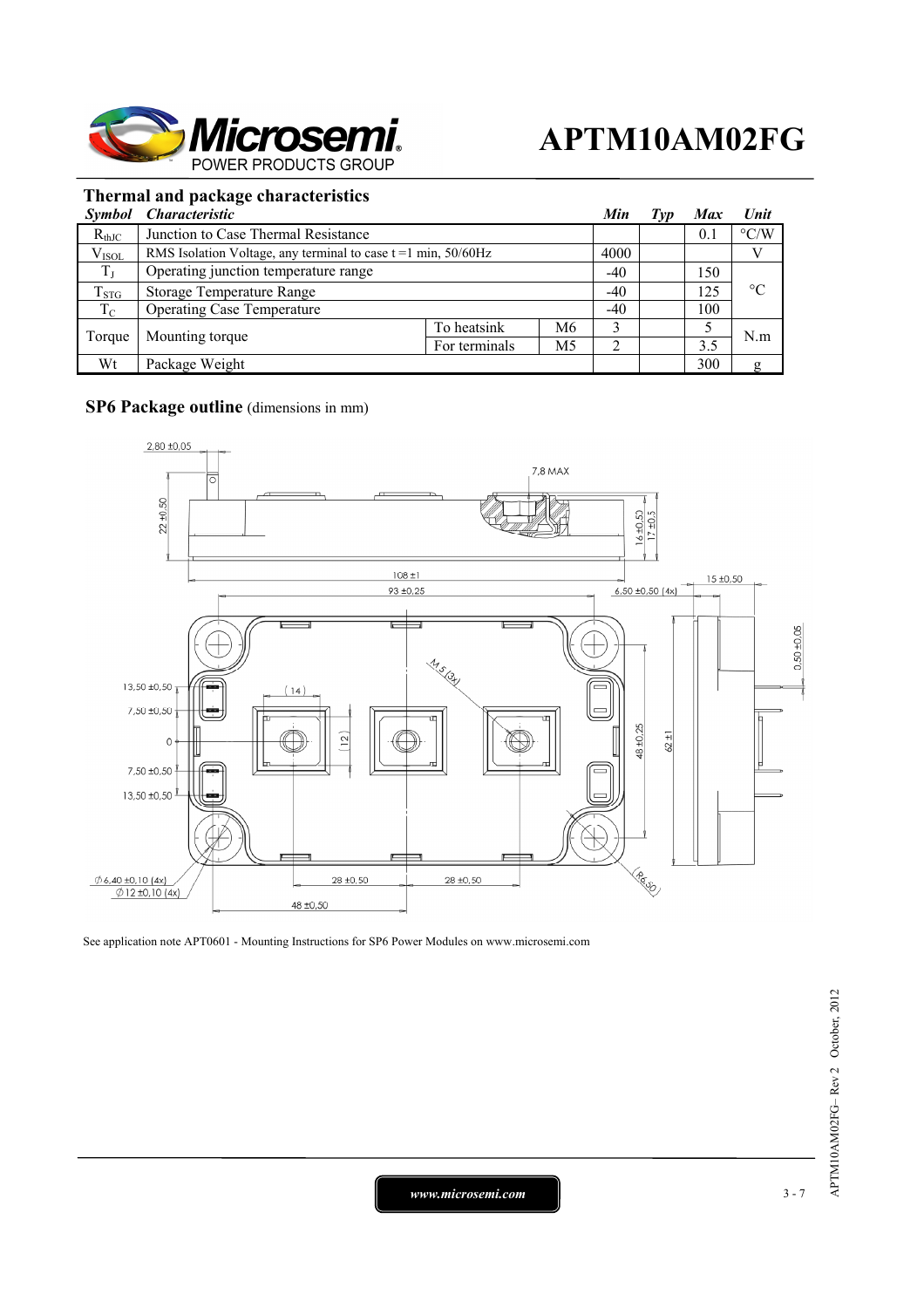

### **Thermal and package characteristics**

|             | Symbol Characteristic                                            |               |    | Min   | Typ | <b>Max</b> | Unit               |
|-------------|------------------------------------------------------------------|---------------|----|-------|-----|------------|--------------------|
| $R_{thJC}$  | Junction to Case Thermal Resistance                              |               |    |       |     | 0.1        | $\rm ^{\circ} C/W$ |
| $V_{ISOL}$  | RMS Isolation Voltage, any terminal to case $t = 1$ min, 50/60Hz |               |    | 4000  |     |            |                    |
| $T_J$       | Operating junction temperature range                             |               |    | $-40$ |     | 150        |                    |
| $T_{STG}$   | <b>Storage Temperature Range</b>                                 |               |    | $-40$ |     | 125        | $\rm ^{\circ}C$    |
| $T_{\rm C}$ | <b>Operating Case Temperature</b>                                |               |    | $-40$ |     | 100        |                    |
| Torque      | Mounting torque                                                  | To heatsink   | M6 |       |     |            | N.m                |
|             |                                                                  | For terminals | M5 |       |     | 3.5        |                    |
| Wt          | Package Weight                                                   |               |    |       |     | 300        | g                  |

#### **SP6 Package outline** (dimensions in mm)



See application note APT0601 - Mounting Instructions for SP6 Power Modules on www.microsemi.com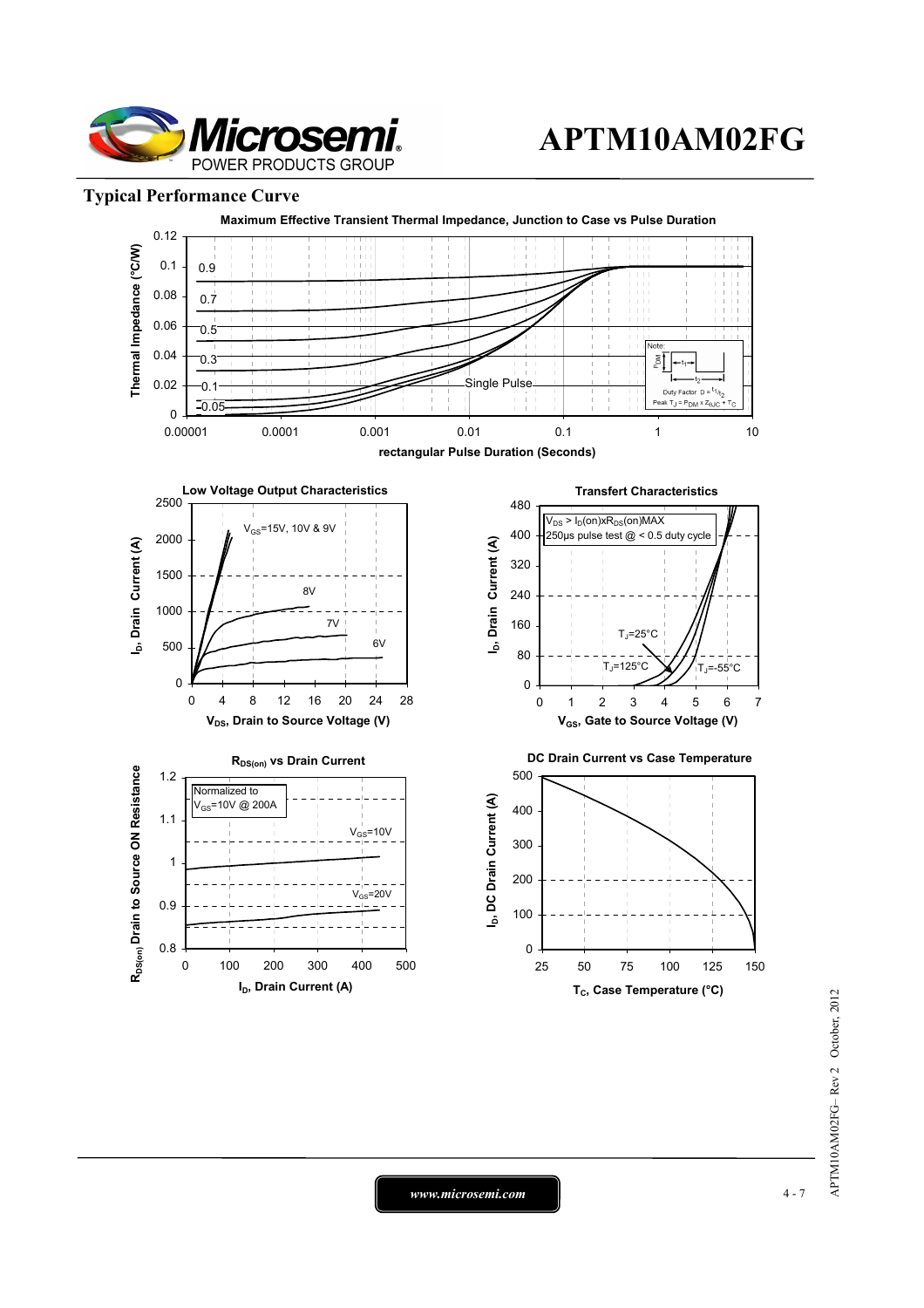

### **Typical Performance Curve**



*www.microsemi.com* 4-7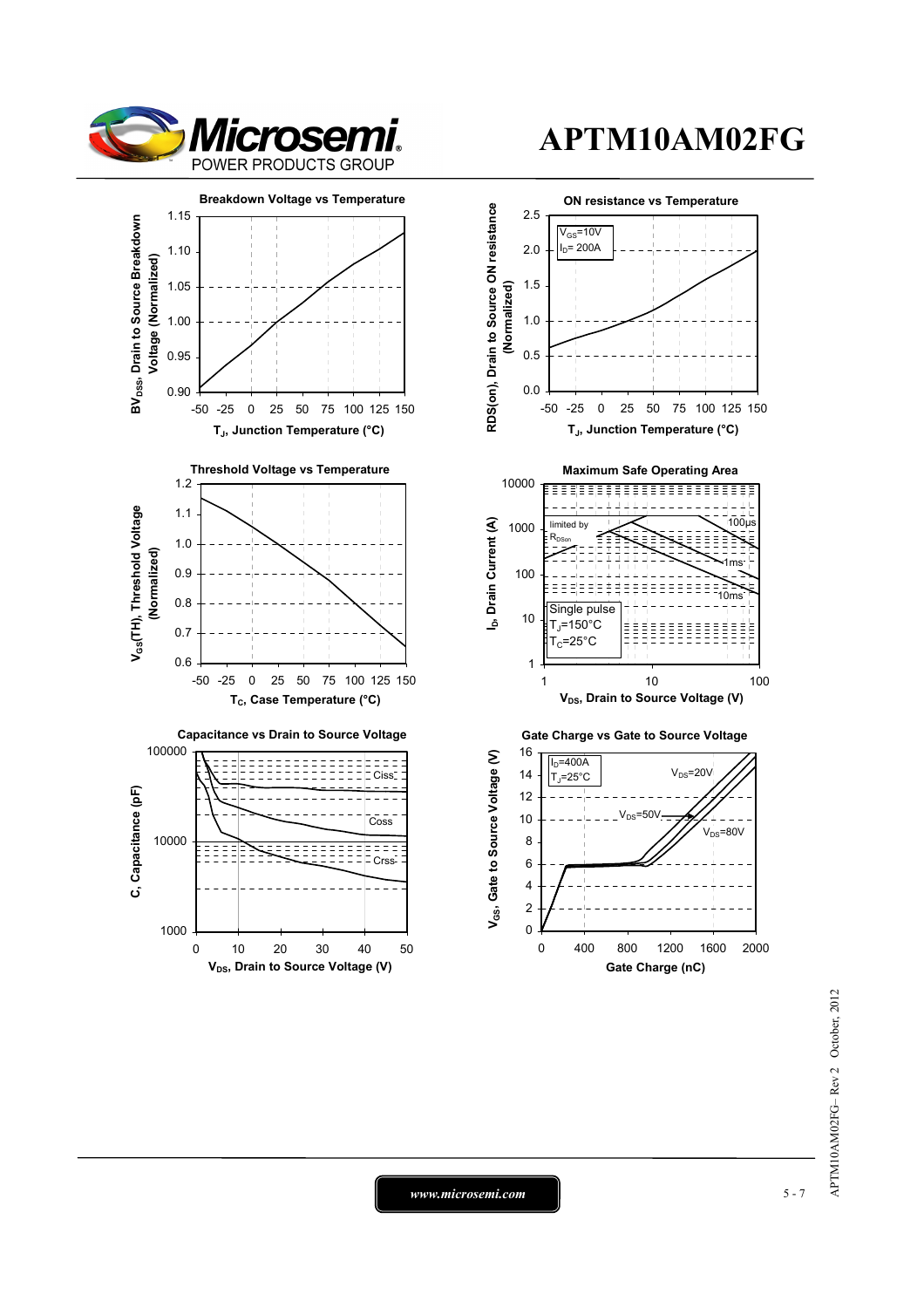



*www.microsemi.com* 5-7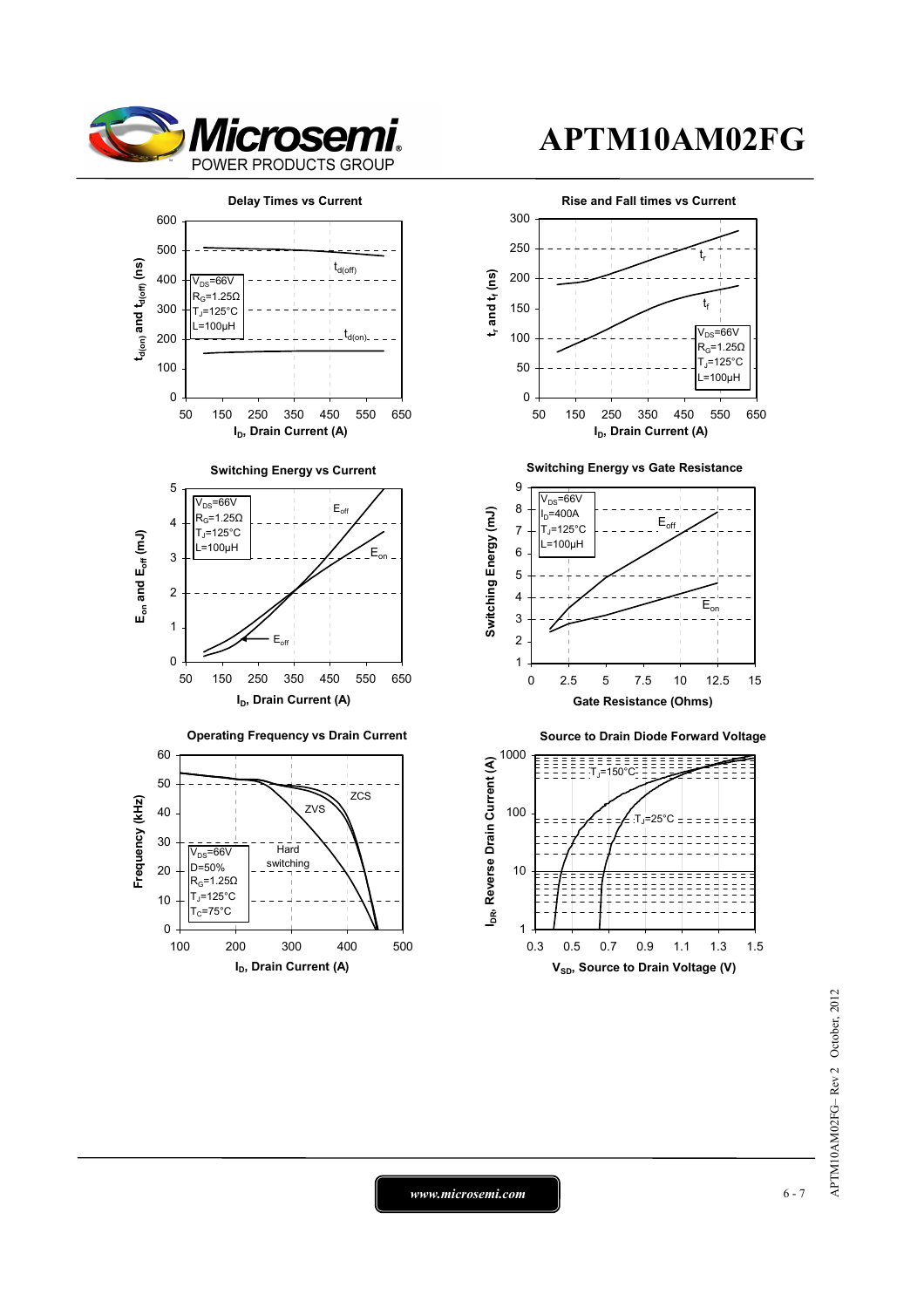





0.3 0.5 0.7 0.9 1.1 1.3 1.5 **V<sub>SD</sub>**, Source to Drain Voltage (V)

> APTM10AM02FG-Rev 2 October, 2012 APTM10AM02FG– Rev 2 October, 2012

*www.microsemi.com* 6-7